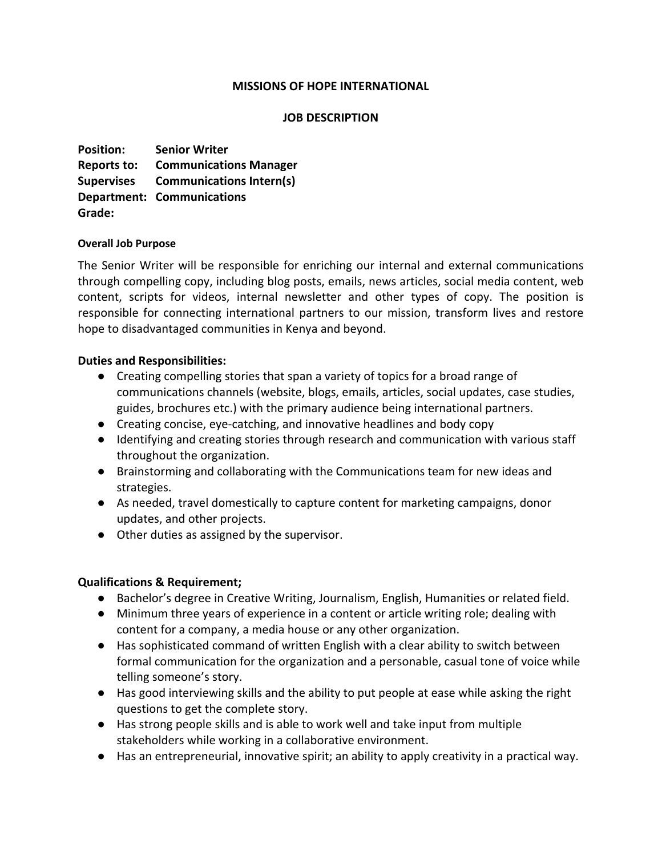## **MISSIONS OF HOPE INTERNATIONAL**

## **JOB DESCRIPTION**

**Position: Senior Writer Reports to: Communications Manager Supervises Communications Intern(s) Department: Communications Grade:**

#### **Overall Job Purpose**

The Senior Writer will be responsible for enriching our internal and external communications through compelling copy, including blog posts, emails, news articles, social media content, web content, scripts for videos, internal newsletter and other types of copy. The position is responsible for connecting international partners to our mission, transform lives and restore hope to disadvantaged communities in Kenya and beyond.

## **Duties and Responsibilities:**

- Creating compelling stories that span a variety of topics for a broad range of communications channels (website, blogs, emails, articles, social updates, case studies, guides, brochures etc.) with the primary audience being international partners.
- Creating concise, eye-catching, and innovative headlines and body copy
- Identifying and creating stories through research and communication with various staff throughout the organization.
- Brainstorming and collaborating with the Communications team for new ideas and strategies.
- As needed, travel domestically to capture content for marketing campaigns, donor updates, and other projects.
- Other duties as assigned by the supervisor.

# **Qualifications & Requirement;**

- Bachelor's degree in Creative Writing, Journalism, English, Humanities or related field.
- Minimum three years of experience in a content or article writing role; dealing with content for a company, a media house or any other organization.
- Has sophisticated command of written English with a clear ability to switch between formal communication for the organization and a personable, casual tone of voice while telling someone's story.
- Has good interviewing skills and the ability to put people at ease while asking the right questions to get the complete story.
- Has strong people skills and is able to work well and take input from multiple stakeholders while working in a collaborative environment.
- Has an entrepreneurial, innovative spirit; an ability to apply creativity in a practical way.